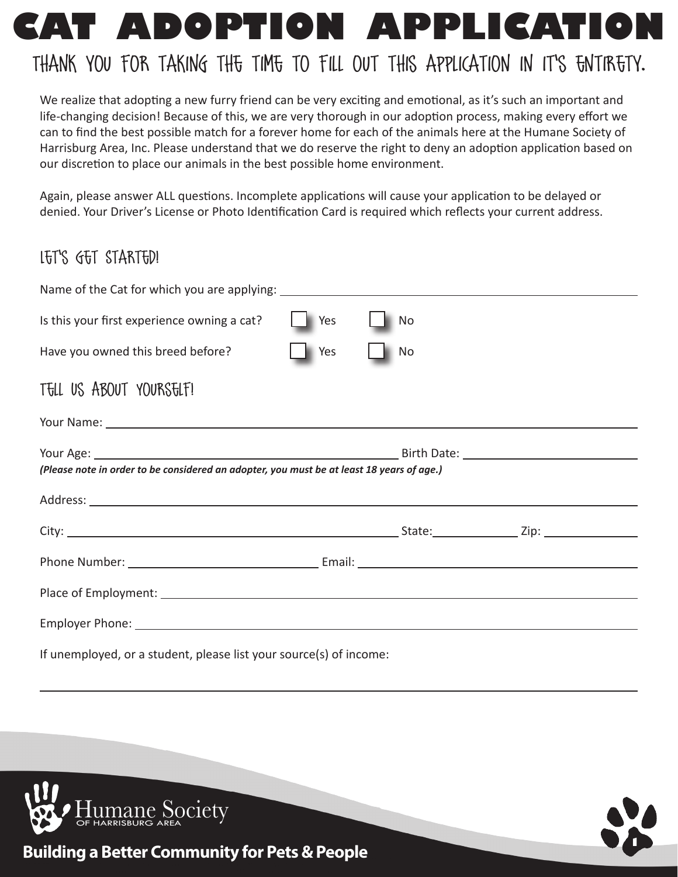

We realize that adopting a new furry friend can be very exciting and emotional, as it's such an important and life-changing decision! Because of this, we are very thorough in our adoption process, making every effort we can to find the best possible match for a forever home for each of the animals here at the Humane Society of Harrisburg Area, Inc. Please understand that we do reserve the right to deny an adoption application based on our discretion to place our animals in the best possible home environment.

Again, please answer ALL questions. Incomplete applications will cause your application to be delayed or denied. Your Driver's License or Photo Identification Card is required which reflects your current address.

# Let's Get Started!

| Is this your first experience owning a cat?                                                                                                                                                                                    | <b>Yes</b> | No.       |  |  |
|--------------------------------------------------------------------------------------------------------------------------------------------------------------------------------------------------------------------------------|------------|-----------|--|--|
| Have you owned this breed before?                                                                                                                                                                                              | Yes        | <b>No</b> |  |  |
| TELL US ABOUT YOURSELF!                                                                                                                                                                                                        |            |           |  |  |
| Your Name: 1988 and 2008 and 2008 and 2008 and 2008 and 2008 and 2008 and 2008 and 2008 and 2008 and 2008 and 2008 and 2008 and 2008 and 2008 and 2008 and 2008 and 2008 and 2008 and 2008 and 2008 and 2008 and 2008 and 2008 |            |           |  |  |
| (Please note in order to be considered an adopter, you must be at least 18 years of age.)                                                                                                                                      |            |           |  |  |
|                                                                                                                                                                                                                                |            |           |  |  |
|                                                                                                                                                                                                                                |            |           |  |  |
|                                                                                                                                                                                                                                |            |           |  |  |
|                                                                                                                                                                                                                                |            |           |  |  |
|                                                                                                                                                                                                                                |            |           |  |  |
| If unemployed, or a student, please list your source(s) of income:                                                                                                                                                             |            |           |  |  |



 $\overline{a}$ 



**Building a Better Community for Pets & People**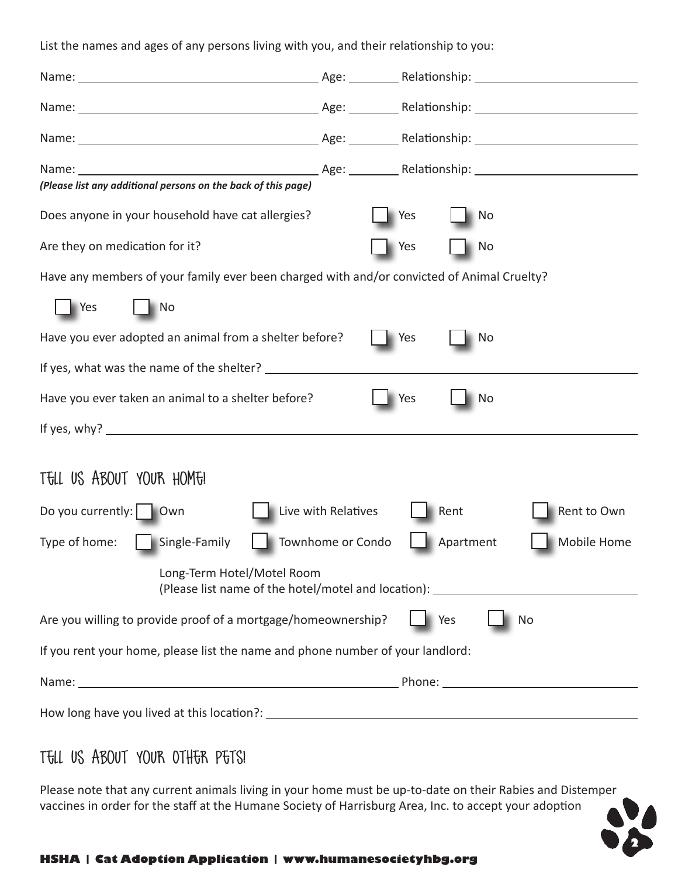List the names and ages of any persons living with you, and their relationship to you:

| (Please list any additional persons on the back of this page)                                                  |                     |                  |             |
|----------------------------------------------------------------------------------------------------------------|---------------------|------------------|-------------|
| Does anyone in your household have cat allergies?                                                              |                     | Yes<br>No.       |             |
| Are they on medication for it?                                                                                 |                     | Yes<br>No        |             |
| Have any members of your family ever been charged with and/or convicted of Animal Cruelty?                     |                     |                  |             |
| <b>Yes</b><br>$\blacksquare$ No                                                                                |                     |                  |             |
| Have you ever adopted an animal from a shelter before?                                                         |                     | Yes<br>No.       |             |
|                                                                                                                |                     |                  |             |
| Have you ever taken an animal to a shelter before?                                                             |                     | Yes<br><b>No</b> |             |
|                                                                                                                |                     |                  |             |
|                                                                                                                |                     |                  |             |
| TELL US ABOUT YOUR HOME!                                                                                       |                     |                  |             |
| Do you currently:     Own                                                                                      | Live with Relatives | Rent             | Rent to Own |
| Type of home:<br>  Single-Family                                                                               | Townhome or Condo   | Apartment        | Mobile Home |
| Long-Term Hotel/Motel Room<br>(Please list name of the hotel/motel and location): ____________________________ |                     |                  |             |
| Are you willing to provide proof of a mortgage/homeownership?                                                  |                     | Yes              | No          |
| If you rent your home, please list the name and phone number of your landlord:                                 |                     |                  |             |
|                                                                                                                |                     |                  |             |
|                                                                                                                |                     |                  |             |

### Tell Us About Your Other Pets!

Please note that any current animals living in your home must be up-to-date on their Rabies and Distemper vaccines in order for the staff at the Humane Society of Harrisburg Area, Inc. to accept your adoption

**2**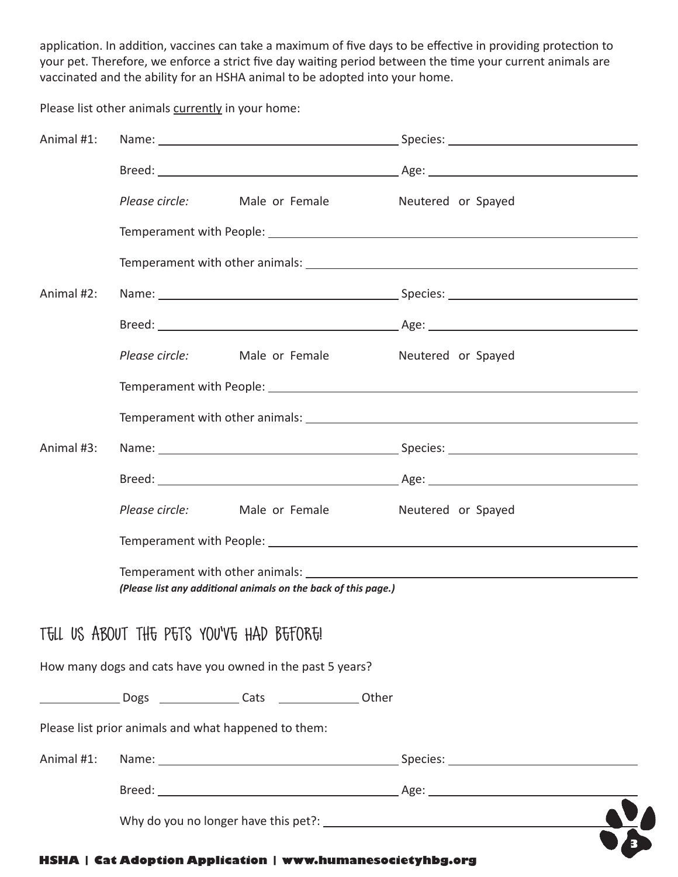application. In addition, vaccines can take a maximum of five days to be effective in providing protection to your pet. Therefore, we enforce a strict five day waiting period between the time your current animals are vaccinated and the ability for an HSHA animal to be adopted into your home.

Please list other animals currently in your home:

| Animal #1: |                                                      |                                                                               |  |
|------------|------------------------------------------------------|-------------------------------------------------------------------------------|--|
|            |                                                      |                                                                               |  |
|            |                                                      | Please circle: Male or Female Meutered or Spayed                              |  |
|            |                                                      |                                                                               |  |
|            |                                                      |                                                                               |  |
| Animal #2: |                                                      |                                                                               |  |
|            |                                                      |                                                                               |  |
|            |                                                      | Please circle: Male or Female Meutered or Spayed                              |  |
|            |                                                      |                                                                               |  |
|            |                                                      |                                                                               |  |
| Animal #3: |                                                      |                                                                               |  |
|            |                                                      |                                                                               |  |
|            |                                                      | Please circle: Male or Female Meutered or Spayed                              |  |
|            |                                                      |                                                                               |  |
|            |                                                      | (Please list any additional animals on the back of this page.)                |  |
|            | TELL US ABOUT THE PETS YOU'VE HAD BEFORE!            |                                                                               |  |
|            |                                                      | How many dogs and cats have you owned in the past 5 years?                    |  |
|            |                                                      | ______________________Dogs _________________Cats _______________________Other |  |
|            | Please list prior animals and what happened to them: |                                                                               |  |
| Animal #1: |                                                      |                                                                               |  |
|            |                                                      |                                                                               |  |
|            |                                                      |                                                                               |  |
|            |                                                      |                                                                               |  |

#### **HSHA | Cat Adoption Application | www.humanesocietyhbg.org**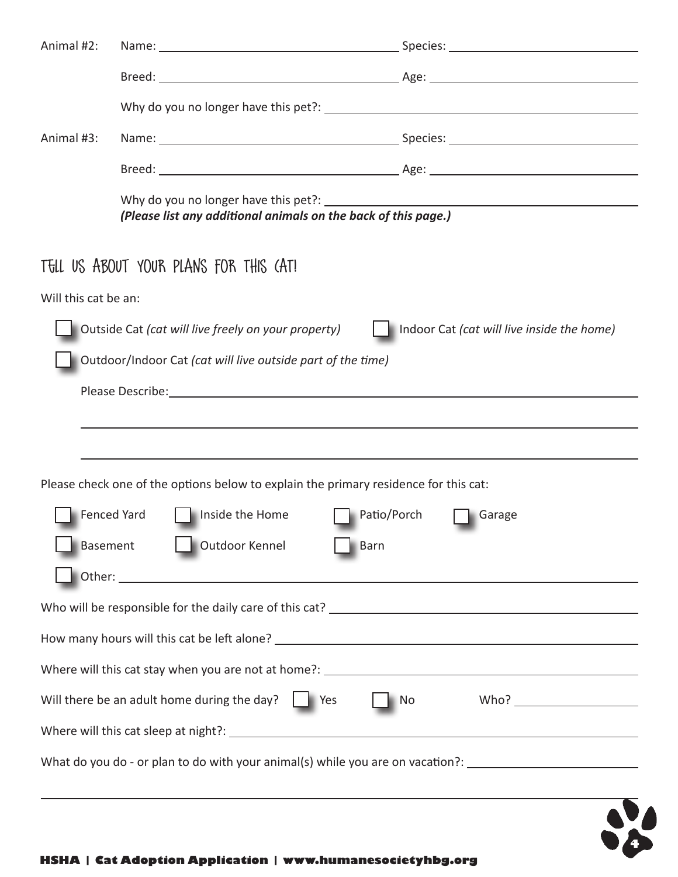| Animal #2:                                                     |                                                                                                                |                                            |  |
|----------------------------------------------------------------|----------------------------------------------------------------------------------------------------------------|--------------------------------------------|--|
|                                                                |                                                                                                                |                                            |  |
|                                                                |                                                                                                                |                                            |  |
| Animal #3:                                                     |                                                                                                                |                                            |  |
|                                                                |                                                                                                                |                                            |  |
| (Please list any additional animals on the back of this page.) |                                                                                                                |                                            |  |
|                                                                | TELL US ABOUT YOUR PLANS FOR THIS (AT!                                                                         |                                            |  |
| Will this cat be an:                                           |                                                                                                                |                                            |  |
|                                                                | Outside Cat (cat will live freely on your property)                                                            | Indoor Cat (cat will live inside the home) |  |
|                                                                | Outdoor/Indoor Cat (cat will live outside part of the time)                                                    |                                            |  |
|                                                                | Please Describe: 1999 and 2009 and 2009 and 2009 and 2009 and 2009 and 2009 and 2009 and 2009 and 2009 and 200 |                                            |  |
|                                                                |                                                                                                                |                                            |  |
|                                                                |                                                                                                                |                                            |  |
|                                                                | Please check one of the options below to explain the primary residence for this cat:                           |                                            |  |
| Fenced Yard                                                    | Inside the Home<br>Patio/Porch                                                                                 | Garage                                     |  |
| <b>Basement</b>                                                | Outdoor Kennel<br>Barn                                                                                         |                                            |  |
|                                                                |                                                                                                                |                                            |  |
|                                                                |                                                                                                                |                                            |  |
|                                                                |                                                                                                                |                                            |  |
|                                                                |                                                                                                                |                                            |  |
|                                                                | Will there be an adult home during the day? $\Box$ Yes                                                         | No                                         |  |
|                                                                |                                                                                                                |                                            |  |
|                                                                | What do you do - or plan to do with your animal(s) while you are on vacation?: ______________________________  |                                            |  |
|                                                                |                                                                                                                |                                            |  |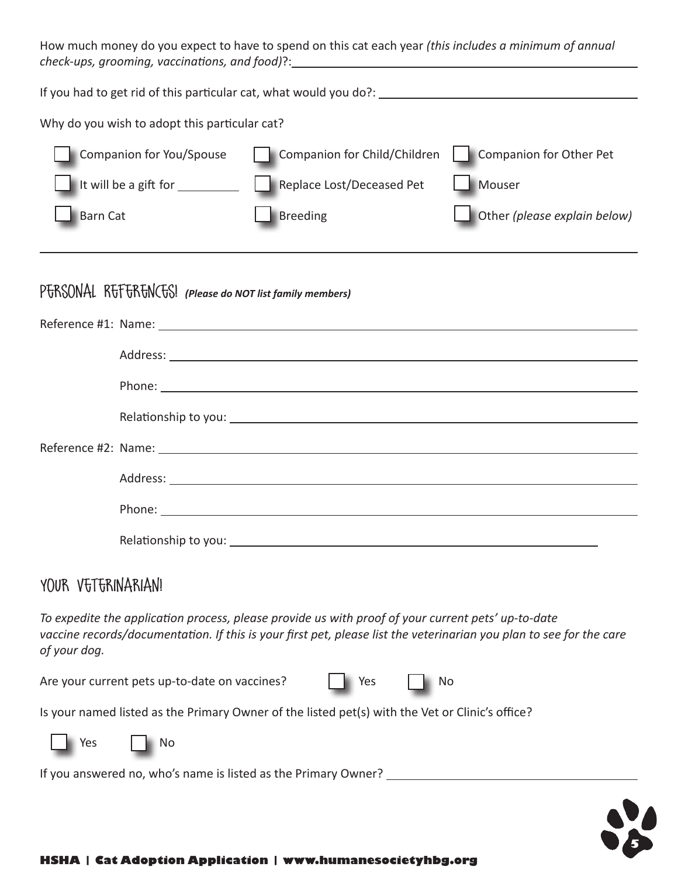How much money do you expect to have to spend on this cat each year *(this includes a minimum of annual check-ups, grooming, vaccinations, and food)*?: <u> 1980 - Johann Barn, mars an t-Amerikaansk politiker (</u>

If you had to get rid of this particular cat, what would you do?:

Why do you wish to adopt this particular cat?

| Companion for You/Spouse                                | Companion for Child/Children | Companion for Other Pet             |
|---------------------------------------------------------|------------------------------|-------------------------------------|
| It will be a gift for $\frac{1}{\sqrt{1-\frac{1}{2}}}\$ | Replace Lost/Deceased Pet    | Mouser                              |
| <b>Barn Cat</b>                                         | Breeding                     | $\Box$ Other (please explain below) |

# P<del>U</del>RSONAL RUTURUM (Please do NOT list family members)

| Phone: <u>Communication</u> Contract Communication Communication Communication Communication Communication Communication |
|--------------------------------------------------------------------------------------------------------------------------|
|                                                                                                                          |
|                                                                                                                          |
|                                                                                                                          |
|                                                                                                                          |
|                                                                                                                          |
|                                                                                                                          |
|                                                                                                                          |
|                                                                                                                          |
|                                                                                                                          |
|                                                                                                                          |

### YOUR VETERINARIAN!

 $\overline{a}$ 

*To expedite the application process, please provide us with proof of your current pets' up-to-date*  vaccine records/documentation. If this is your first pet, please list the veterinarian you plan to see for the care *of your dog.*

Are your current pets up-to-date on vaccines? | | Yes | | No

Is your named listed as the Primary Owner of the listed pet(s) with the Vet or Clinic's office?



If you answered no, who's name is listed as the Primary Owner?